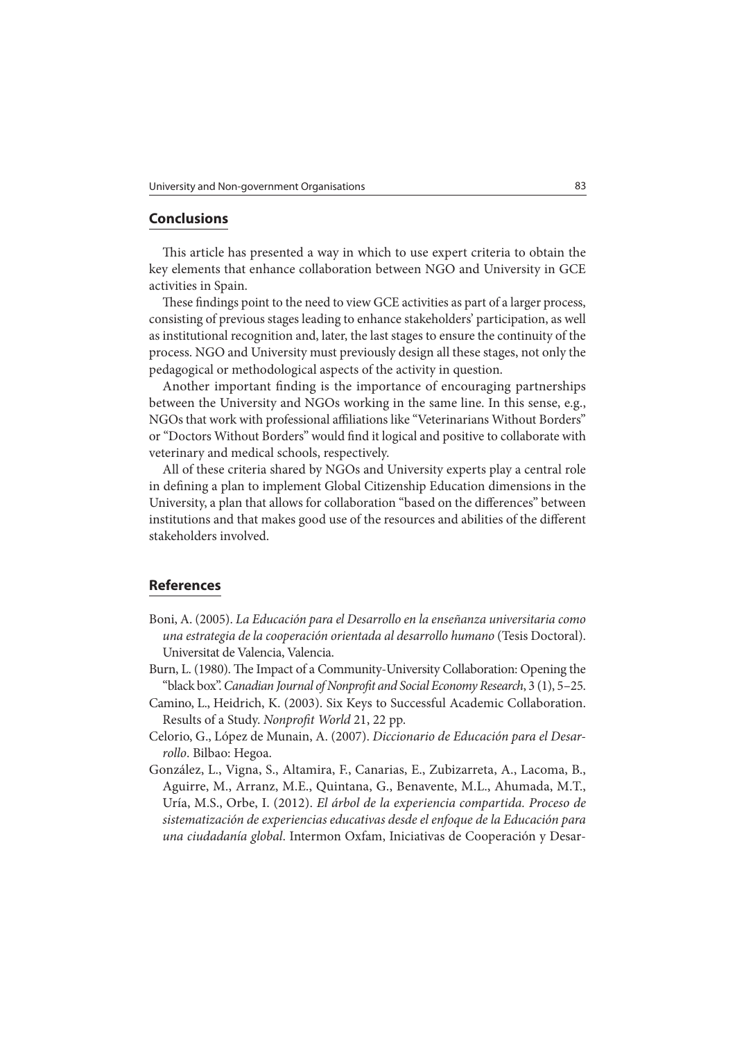## **Conclusions**

This article has presented a way in which to use expert criteria to obtain the key elements that enhance collaboration between NGO and University in GCE activities in Spain.

These findings point to the need to view GCE activities as part of a larger process, consisting of previous stages leading to enhance stakeholders' participation, as well as institutional recognition and, later, the last stages to ensure the continuity of the process. NGO and University must previously design all these stages, not only the pedagogical or methodological aspects of the activity in question.

Another important finding is the importance of encouraging partnerships between the University and NGOs working in the same line. In this sense, e.g., NGOs that work with professional affiliations like "Veterinarians Without Borders" or "Doctors Without Borders" would find it logical and positive to collaborate with veterinary and medical schools, respectively.

All of these criteria shared by NGOs and University experts play a central role in defining a plan to implement Global Citizenship Education dimensions in the University, a plan that allows for collaboration "based on the differences" between institutions and that makes good use of the resources and abilities of the different stakeholders involved.

## **References**

- Boni, A. (2005). La Educación para el Desarrollo en la enseñanza universitaria como una estrategia de la cooperación orientada al desarrollo humano (Tesis Doctoral). Universitat de Valencia, Valencia.
- Burn, L. (1980). The Impact of a Community-University Collaboration: Opening the "black box". Canadian Journal of Nonprofit and Social Economy Research, 3 (1), 5–25.
- Camino, L., Heidrich, K. (2003). Six Keys to Successful Academic Collaboration. Results of a Study. Nonprofit World 21, 22 pp.
- Celorio, G., López de Munain, A. (2007). Diccionario de Educación para el Desarrollo. Bilbao: Hegoa.
- González, L., Vigna, S., Altamira, F., Canarias, E., Zubizarreta, A., Lacoma, B., Aguirre, M., Arranz, M.E., Quintana, G., Benavente, M.L., Ahumada, M.T., Uría, M.S., Orbe, I. (2012). El árbol de la experiencia compartida. Proceso de sistematización de experiencias educativas desde el enfoque de la Educación para una ciudadanía global. Intermon Oxfam, Iniciativas de Cooperación y Desar-